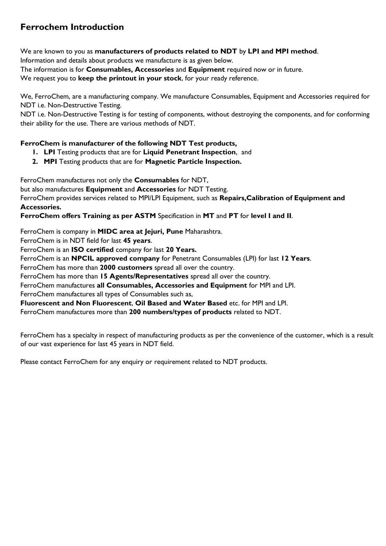## **Ferrochem Introduction**

We are known to you as **manufacturers of products related to NDT** by **LPI and MPI method**.

Information and details about products we manufacture is as given below.

The information is for **Consumables, Accessories** and **Equipment** required now or in future.

We request you to **keep the printout in your stock**, for your ready reference.

We, FerroChem, are a manufacturing company. We manufacture Consumables, Equipment and Accessories required for NDT i.e. Non-Destructive Testing.

NDT i.e. Non-Destructive Testing is for testing of components, without destroying the components, and for conforming their ability for the use. There are various methods of NDT.

#### **FerroChem is manufacturer of the following NDT Test products,**

- **1. LPI** Testing products that are for **Liquid Penetrant Inspection**, and
- **2. MPI** Testing products that are for **Magnetic Particle Inspection.**

FerroChem manufactures not only the **Consumables** for NDT,

but also manufactures **Equipment** and **Accessories** for NDT Testing.

FerroChem provides services related to MPI/LPI Equipment, such as **Repairs,Calibration of Equipment and Accessories.**

**FerroChem offers Training as per ASTM** Specification in **MT** and **PT** for **level I and II**.

FerroChem is company in **MIDC area at Jejuri, Pune** Maharashtra.

FerroChem is in NDT field for last **45 years**.

FerroChem is an **ISO certified** company for last **20 Years.**

FerroChem is an **NPCIL approved company** for Penetrant Consumables (LPI) for last **12 Years**.

FerroChem has more than **2000 customers** spread all over the country.

FerroChem has more than **15 Agents/Representatives** spread all over the country.

FerroChem manufactures **all Consumables, Accessories and Equipment** for MPI and LPI.

FerroChem manufactures all types of Consumables such as,

**Fluorescent and Non Fluorescent**, **Oil Based and Water Based** etc. for MPI and LPI.

FerroChem manufactures more than **200 numbers/types of products** related to NDT.

FerroChem has a specialty in respect of manufacturing products as per the convenience of the customer, which is a result of our vast experience for last 45 years in NDT field.

Please contact FerroChem for any enquiry or requirement related to NDT products.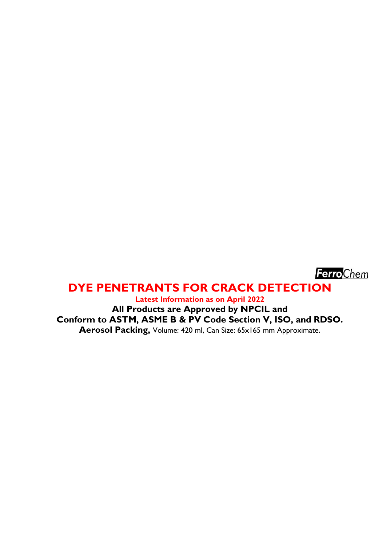

## **DYE PENETRANTS FOR CRACK DETECTION**

**Latest Information as on April 2022**

**All Products are Approved by NPCIL and Conform to ASTM, ASME B & PV Code Section V, ISO, and RDSO. Aerosol Packing,** Volume: 420 ml, Can Size: 65x165 mm Approximate.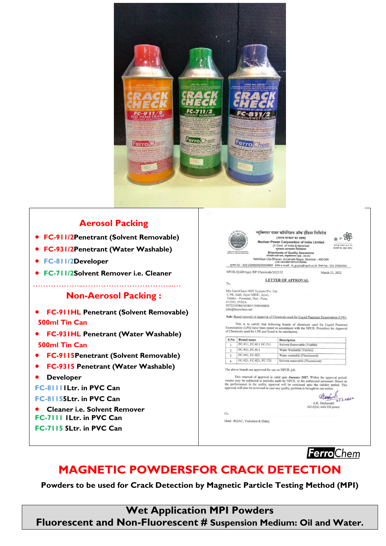

### **Aerosol Packing**

- **FC-911/2Penetrant (Solvent Removable)**
- **FC-931/2Penetrant (Water Washable)**
- **FC-811/2Developer**
- **FC-711/2Solvent Remover i.e. Cleaner**

 $\mathcal{L}_{\mathcal{M}}$ 

#### **Non-Aerosol Packing :**

- **FC-911HL Penetrant (Solvent Removable) 500ml Tin Can**
- **FC-931HL Penetrant (Water Washable) 500ml Tin Can**
- **FC-9115Penetrant (Solvent Removable)**
- **FC-9315 Penetrant (Water Washable)**
- **Developer**

**FC-81111Ltr. in PVC Can**

**FC-81155Ltr. in PVC Can**

 **Cleaner i.e. Solvent Remover FC-7111 1Ltr. in PVC Can**

- 
- **FC-7115 5Ltr. in PVC Can**



**FerroChem** 

# **MAGNETIC POWDERSFOR CRACK DETECTION**

**Powders to be used for Crack Detection by Magnetic Particle Testing Method (MPI)**

**Wet Application MPI Powders**

**Fluorescent and Non-Fluorescent # Suspension Medium: Oil and Water.**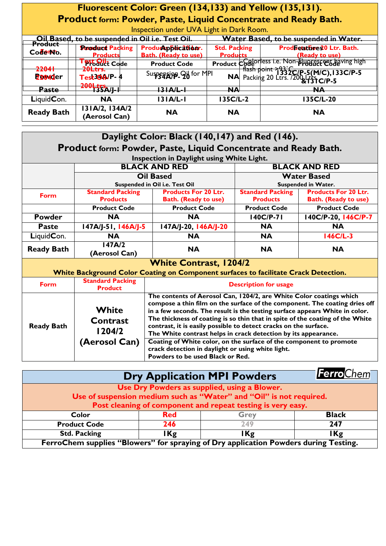## **Fluorescent Color: Green (134,133) and Yellow (135,131). Product form: Powder, Paste, Liquid Concentrate and Ready Bath.**

Inspection under UVA Light in Dark Room.

| $\overline{a}$ is peculon under $\overline{b}$ and $\overline{c}$ is the parameter $\overline{a}$  |                                            |                                                   |                                               |                                                                                           |  |  |
|----------------------------------------------------------------------------------------------------|--------------------------------------------|---------------------------------------------------|-----------------------------------------------|-------------------------------------------------------------------------------------------|--|--|
| Oil Based, to be suspended in Oil i.e. Test Oil.<br>Product     Condand Balting   Buadu California |                                            |                                                   | <b>Water Based, to be suspended in Water.</b> |                                                                                           |  |  |
| Codemo.                                                                                            | <b>Standard Packing</b><br><b>Products</b> | Productpblication.<br><b>Bath.</b> (Ready to use) | <b>Std. Packing</b><br><b>Products</b>        | ProdEetathee 20 Ltr. Bath.<br>(Ready to use)                                              |  |  |
| 22041                                                                                              | <b>PPbauct Code</b>                        | <b>Product Code</b>                               |                                               | Product Code of less i.e. Non-Bugger en having high                                       |  |  |
| <b>Z204d</b> er                                                                                    | 20Ltrs.<br>Test30A/P-4                     | Suspension 96 for MPI                             |                                               | .t Code   flash point > 33 2C/P-5 (M/C), 133 C/P-5<br>NA Packing 20 Ltrs. /200 - 13 C/P-5 |  |  |
| <b>Paste</b>                                                                                       |                                            | <u> 31 A/L-1</u>                                  | <b>NA</b>                                     | NA                                                                                        |  |  |
| LiquidCon.                                                                                         | <b>NA</b>                                  | 131A/L-1                                          | 135C/L-2                                      | 135C/L-20                                                                                 |  |  |
| <b>Ready Bath</b>                                                                                  | 13 A/2, 134A/2<br>(Aerosol Can)            | <b>NA</b>                                         | <b>NA</b>                                     | <b>NA</b>                                                                                 |  |  |

| Daylight Color: Black (140,147) and Red (146).                  |                                           |                                                                                                                                                                                                                                  |                            |                             |  |  |
|-----------------------------------------------------------------|-------------------------------------------|----------------------------------------------------------------------------------------------------------------------------------------------------------------------------------------------------------------------------------|----------------------------|-----------------------------|--|--|
| Product form: Powder, Paste, Liquid Concentrate and Ready Bath. |                                           |                                                                                                                                                                                                                                  |                            |                             |  |  |
|                                                                 | Inspection in Daylight using White Light. |                                                                                                                                                                                                                                  |                            |                             |  |  |
|                                                                 |                                           | <b>BLACK AND RED</b>                                                                                                                                                                                                             | <b>BLACK AND RED</b>       |                             |  |  |
|                                                                 | <b>Oil Based</b>                          |                                                                                                                                                                                                                                  | <b>Water Based</b>         |                             |  |  |
|                                                                 | Suspended in Oil i.e. Test Oil            |                                                                                                                                                                                                                                  | <b>Suspended in Water.</b> |                             |  |  |
| Form                                                            | <b>Standard Packing</b>                   | <b>Products For 20 Ltr.</b>                                                                                                                                                                                                      | <b>Standard Packing</b>    | <b>Products For 20 Ltr.</b> |  |  |
|                                                                 | <b>Products</b>                           | <b>Bath. (Ready to use)</b>                                                                                                                                                                                                      | <b>Products</b>            | <b>Bath. (Ready to use)</b> |  |  |
|                                                                 | <b>Product Code</b>                       | <b>Product Code</b>                                                                                                                                                                                                              | <b>Product Code</b>        | <b>Product Code</b>         |  |  |
| <b>Powder</b>                                                   | <b>NA</b>                                 | <b>NA</b>                                                                                                                                                                                                                        | $140C/P-71$                | 140C/P-20, 146C/P-7         |  |  |
| <b>Paste</b>                                                    | 147A/J-51, 146A/J-5                       | 147A/J-20, 146A/J-20                                                                                                                                                                                                             | <b>NA</b>                  | <b>NA</b>                   |  |  |
| LiquidCon.                                                      | <b>NA</b>                                 | <b>NA</b>                                                                                                                                                                                                                        | <b>NA</b>                  | 146C/L-3                    |  |  |
| <b>Ready Bath</b>                                               | 147A/2                                    | <b>NA</b>                                                                                                                                                                                                                        | <b>NA</b>                  | <b>NA</b>                   |  |  |
|                                                                 | (Aerosol Can)                             |                                                                                                                                                                                                                                  |                            |                             |  |  |
|                                                                 |                                           | <b>White Contrast, 1204/2</b>                                                                                                                                                                                                    |                            |                             |  |  |
|                                                                 |                                           | White Background Color Coating on Component surfaces to facilitate Crack Detection.                                                                                                                                              |                            |                             |  |  |
| <b>Form</b>                                                     | <b>Standard Packing</b>                   | <b>Description for usage</b>                                                                                                                                                                                                     |                            |                             |  |  |
|                                                                 | <b>Product</b>                            |                                                                                                                                                                                                                                  |                            |                             |  |  |
|                                                                 | White                                     | The contents of Aerosol Can, 1204/2, are White Color coatings which<br>compose a thin film on the surface of the component. The coating dries off<br>in a few seconds. The result is the testing surface appears White in color. |                            |                             |  |  |
| <b>Ready Bath</b>                                               |                                           |                                                                                                                                                                                                                                  |                            |                             |  |  |
|                                                                 | Contrast                                  | The thickness of coating is so thin that in spite of the coating of the White<br>contrast, it is easily possible to detect cracks on the surface.                                                                                |                            |                             |  |  |
|                                                                 | 1204/2                                    |                                                                                                                                                                                                                                  |                            |                             |  |  |
|                                                                 | (Aerosol Can)                             | The White contrast helps in crack detection by its appearance.<br>Coating of White color, on the surface of the component to promote<br>crack detection in daylight or using white light.                                        |                            |                             |  |  |
|                                                                 |                                           |                                                                                                                                                                                                                                  |                            |                             |  |  |
|                                                                 |                                           | Powders to be used Black or Red.                                                                                                                                                                                                 |                            |                             |  |  |

| FerroChem<br><b>Dry Application MPI Powders</b>                                      |            |             |              |  |  |
|--------------------------------------------------------------------------------------|------------|-------------|--------------|--|--|
| Use Dry Powders as supplied, using a Blower.                                         |            |             |              |  |  |
| Use of suspension medium such as "Water" and "Oil" is not required.                  |            |             |              |  |  |
| Post cleaning of component and repeat testing is very easy.                          |            |             |              |  |  |
| Color                                                                                | <b>Red</b> | <b>Grey</b> | <b>Black</b> |  |  |
| <b>Product Code</b>                                                                  | 246        | 249         | 247          |  |  |
| <b>Std. Packing</b>                                                                  | IKg        | IKg         | I Kg         |  |  |
| FerroChem supplies "Blowers" for spraying of Dry application Powders during Testing. |            |             |              |  |  |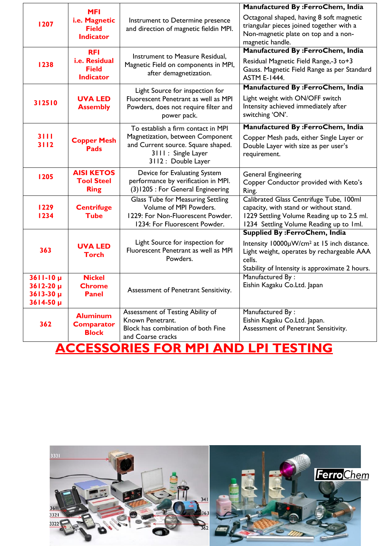|                                                       |                                                                 |                                                                                                                                   | Manufactured By :FerroChem, India                                                                                                                                          |  |  |
|-------------------------------------------------------|-----------------------------------------------------------------|-----------------------------------------------------------------------------------------------------------------------------------|----------------------------------------------------------------------------------------------------------------------------------------------------------------------------|--|--|
| 1207                                                  | <b>MFI</b><br>i.e. Magnetic<br><b>Field</b><br><b>Indicator</b> | Instrument to Determine presence<br>and direction of magnetic fieldin MPI.                                                        | Octagonal shaped, having 8 soft magnetic<br>triangular pieces joined together with a<br>Non-magnetic plate on top and a non-<br>magnetic handle.                           |  |  |
|                                                       | <b>RFI</b>                                                      | Instrument to Measure Residual,                                                                                                   | Manufactured By :FerroChem, India                                                                                                                                          |  |  |
| 1238                                                  | i.e. Residual<br><b>Field</b><br><b>Indicator</b>               | Magnetic Field on components in MPI,<br>after demagnetization.                                                                    | Residual Magnetic Field Range,-3 to+3<br>Gauss. Magnetic Field Range as per Standard<br><b>ASTM E-1444.</b>                                                                |  |  |
|                                                       |                                                                 | Light Source for inspection for                                                                                                   | Manufactured By :FerroChem, India                                                                                                                                          |  |  |
| 312510                                                | <b>UVA LED</b><br><b>Assembly</b>                               | Fluorescent Penetrant as well as MPI<br>Powders, does not require filter and<br>power pack.                                       | Light weight with ON/OFF switch<br>Intensity achieved immediately after<br>switching 'ON'.                                                                                 |  |  |
|                                                       |                                                                 | To establish a firm contact in MPI                                                                                                | Manufactured By :FerroChem, India                                                                                                                                          |  |  |
| 3111<br>3112                                          | <b>Copper Mesh</b><br><b>Pads</b>                               | Magnetization, between Component<br>and Current source. Square shaped.<br>3111 : Single Layer<br>3112 : Double Layer              | Copper Mesh pads, either Single Layer or<br>Double Layer with size as per user's<br>requirement.                                                                           |  |  |
| 1205                                                  | <b>AISI KETOS</b>                                               | Device for Evaluating System                                                                                                      | <b>General Engineering</b>                                                                                                                                                 |  |  |
|                                                       | <b>Tool Steel</b><br><b>Ring</b>                                | performance by verification in MPI.<br>(3) 1205 : For General Engineering                                                         | Copper Conductor provided with Keto's<br>Ring.                                                                                                                             |  |  |
| 1229<br>1234                                          | <b>Centrifuge</b><br><b>Tube</b>                                | Glass Tube for Measuring Settling<br>Volume of MPI Powders.<br>1229: For Non-Fluorescent Powder.<br>1234: For Fluorescent Powder. | Calibrated Glass Centrifuge Tube, 100ml<br>capacity, with stand or without stand.<br>1229 Settling Volume Reading up to 2.5 ml.<br>1234 Settling Volume Reading up to 1ml. |  |  |
|                                                       |                                                                 |                                                                                                                                   | <b>Supplied By: FerroChem, India</b>                                                                                                                                       |  |  |
| 363                                                   | <b>UVA LED</b><br><b>Torch</b>                                  | Light Source for inspection for<br>Fluorescent Penetrant as well as MPI<br>Powders.                                               | Intensity 10000µW/cm <sup>2</sup> at 15 inch distance.<br>Light weight, operates by rechargeable AAA<br>cells.<br>Stability of Intensity is approximate 2 hours.           |  |  |
| $3611 - 10 \mu$                                       | <b>Nickel</b>                                                   |                                                                                                                                   | Manufactured By:                                                                                                                                                           |  |  |
| $3612 - 20 \mu$<br>$3613 - 30 \mu$<br>$3614 - 50 \mu$ | <b>Chrome</b><br><b>Panel</b>                                   | Assessment of Penetrant Sensitivity.                                                                                              | Eishin Kagaku Co.Ltd. Japan                                                                                                                                                |  |  |
|                                                       | <b>Aluminum</b>                                                 | Assessment of Testing Ability of                                                                                                  | Manufactured By:                                                                                                                                                           |  |  |
| 362                                                   | <b>Comparator</b>                                               | Known Penetrant.                                                                                                                  | Eishin Kagaku Co.Ltd. Japan.                                                                                                                                               |  |  |
|                                                       | <b>Block</b>                                                    | Block has combination of both Fine<br>and Coarse cracks                                                                           | Assessment of Penetrant Sensitivity.                                                                                                                                       |  |  |
| <u>ACCESSORIES FOR MPI AND LPI TESTING</u>            |                                                                 |                                                                                                                                   |                                                                                                                                                                            |  |  |